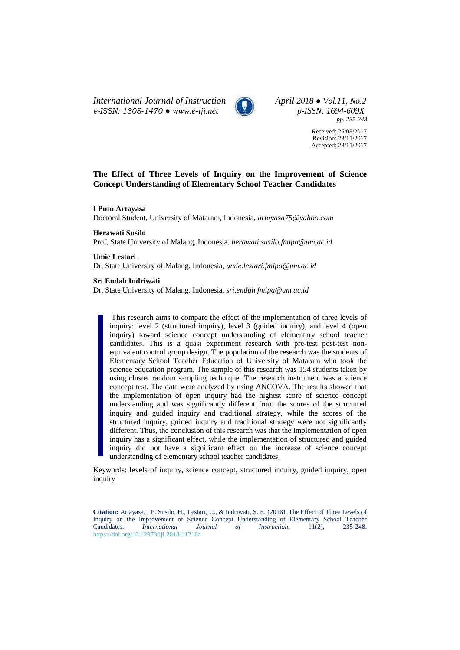*International Journal of Instruction April 2018 ● Vol.11, No.2 e-ISSN: 1308-1470 ● [www.e-iji.net](http://www.e-iji.net/) p-ISSN: 1694-609X*



*pp. 235-248*

Received: 25/08/2017 Revision: 23/11/2017 Accepted: 28/11/2017

# **The Effect of Three Levels of Inquiry on the Improvement of Science Concept Understanding of Elementary School Teacher Candidates**

**I Putu Artayasa**

Doctoral Student, University of Mataram, Indonesia, *[artayasa75@yahoo.com](mailto:artayasa75@yahoo.com)*

**Herawati Susilo**

Prof, State University of Malang, Indonesia, *[herawati.susilo.fmipa@um.ac.id](mailto:herawati.susilo.fmipa@um.ac.id)*

**Umie Lestari**

Dr, State University of Malang, Indonesia, *[umie.lestari.fmipa@um.ac.id](mailto:umie.lestari.fmipa@um.ac.id)*

## **Sri Endah Indriwati**

Dr, State University of Malang, Indonesia, *sri.endah.fmipa@um.ac.id*

This research aims to compare the effect of the implementation of three levels of inquiry: level 2 (structured inquiry), level 3 (guided inquiry), and level 4 (open inquiry) toward science concept understanding of elementary school teacher candidates. This is a quasi experiment research with pre-test post-test nonequivalent control group design. The population of the research was the students of Elementary School Teacher Education of University of Mataram who took the science education program. The sample of this research was 154 students taken by using cluster random sampling technique. The research instrument was a science concept test. The data were analyzed by using ANCOVA. The results showed that the implementation of open inquiry had the highest score of science concept understanding and was significantly different from the scores of the structured inquiry and guided inquiry and traditional strategy, while the scores of the structured inquiry, guided inquiry and traditional strategy were not significantly different. Thus, the conclusion of this research was that the implementation of open inquiry has a significant effect, while the implementation of structured and guided inquiry did not have a significant effect on the increase of science concept understanding of elementary school teacher candidates.

Keywords: levels of inquiry, science concept, structured inquiry, guided inquiry, open inquiry

**Citation:** Artayasa, I P. Susilo, H., Lestari, U., & Indriwati, S. E. (2018). The Effect of Three Levels of Inquiry on the Improvement of Science Concept Understanding of Elementary School Teacher<br>Candidates. *International Journal of Instruction*, 11(2), 235-248. of *Instruction*, 11(2), <https://doi.org/10.12973/iji.2018.11216a>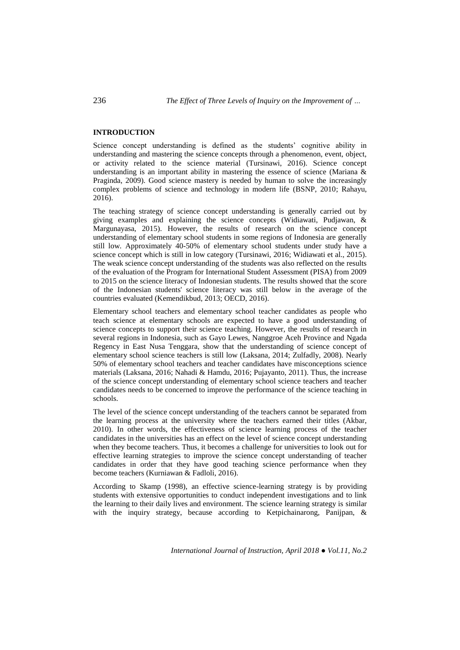## **INTRODUCTION**

Science concept understanding is defined as the students' cognitive ability in understanding and mastering the science concepts through a phenomenon, event, object, or activity related to the science material (Tursinawi, 2016). Science concept understanding is an important ability in mastering the essence of science (Mariana & Praginda, 2009). Good science mastery is needed by human to solve the increasingly complex problems of science and technology in modern life (BSNP, 2010; Rahayu, 2016).

The teaching strategy of science concept understanding is generally carried out by giving examples and explaining the science concepts (Widiawati, Pudjawan, & Margunayasa, 2015). However, the results of research on the science concept understanding of elementary school students in some regions of Indonesia are generally still low. Approximately 40-50% of elementary school students under study have a science concept which is still in low category (Tursinawi, 2016; Widiawati et al., 2015). The weak science concept understanding of the students was also reflected on the results of the evaluation of the Program for International Student Assessment (PISA) from 2009 to 2015 on the science literacy of Indonesian students. The results showed that the score of the Indonesian students' science literacy was still below in the average of the countries evaluated (Kemendikbud, 2013; OECD, 2016).

Elementary school teachers and elementary school teacher candidates as people who teach science at elementary schools are expected to have a good understanding of science concepts to support their science teaching. However, the results of research in several regions in Indonesia, such as Gayo Lewes, Nanggroe Aceh Province and Ngada Regency in East Nusa Tenggara, show that the understanding of science concept of elementary school science teachers is still low (Laksana, 2014; Zulfadly, 2008). Nearly 50% of elementary school teachers and teacher candidates have misconceptions science materials (Laksana, 2016; Nahadi & Hamdu, 2016; Pujayanto, 2011). Thus, the increase of the science concept understanding of elementary school science teachers and teacher candidates needs to be concerned to improve the performance of the science teaching in schools.

The level of the science concept understanding of the teachers cannot be separated from the learning process at the university where the teachers earned their titles (Akbar, 2010). In other words, the effectiveness of science learning process of the teacher candidates in the universities has an effect on the level of science concept understanding when they become teachers. Thus, it becomes a challenge for universities to look out for effective learning strategies to improve the science concept understanding of teacher candidates in order that they have good teaching science performance when they become teachers (Kurniawan & Fadloli, 2016).

According to Skamp (1998), an effective science-learning strategy is by providing students with extensive opportunities to conduct independent investigations and to link the learning to their daily lives and environment. The science learning strategy is similar with the inquiry strategy, because according to Ketpichainarong, Panijpan, &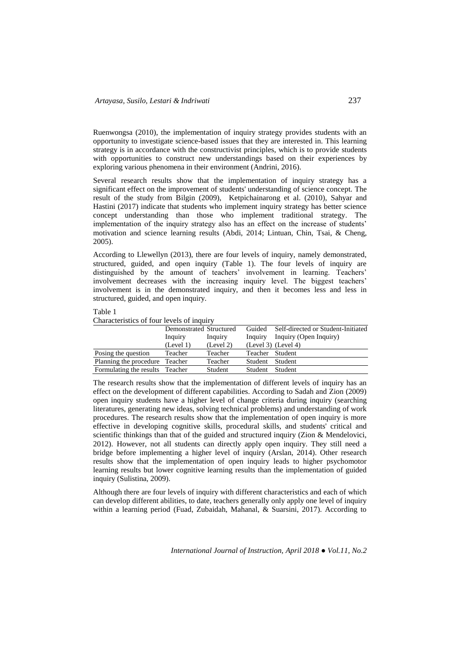Ruenwongsa (2010), the implementation of inquiry strategy provides students with an opportunity to investigate science-based issues that they are interested in. This learning strategy is in accordance with the constructivist principles, which is to provide students with opportunities to construct new understandings based on their experiences by exploring various phenomena in their environment (Andrini, 2016).

Several research results show that the implementation of inquiry strategy has a significant effect on the improvement of students' understanding of science concept. The result of the study from Bilgin (2009), Ketpichainarong et al. (2010), Sahyar and Hastini (2017) indicate that students who implement inquiry strategy has better science concept understanding than those who implement traditional strategy. The implementation of the inquiry strategy also has an effect on the increase of students' motivation and science learning results (Abdi, 2014; Lintuan, Chin, Tsai, & Cheng, 2005).

According to Llewellyn (2013), there are four levels of inquiry, namely demonstrated, structured, guided, and open inquiry (Table 1). The four levels of inquiry are distinguished by the amount of teachers' involvement in learning. Teachers' involvement decreases with the increasing inquiry level. The biggest teachers' involvement is in the demonstrated inquiry, and then it becomes less and less in structured, guided, and open inquiry.

#### Table 1

Characteristics of four levels of inquiry

|                                 | Demonstrated Structured |           |                     | Guided Self-directed or Student-Initiated |
|---------------------------------|-------------------------|-----------|---------------------|-------------------------------------------|
|                                 | Inquiry                 | Inquiry   | Inquiry             | Inquiry (Open Inquiry)                    |
|                                 | (Level 1)               | (Level 2) | (Level 3) (Level 4) |                                           |
| Posing the question             | Teacher                 | Teacher   | Teacher Student     |                                           |
| Planning the procedure Teacher  |                         | Teacher   | Student Student     |                                           |
| Formulating the results Teacher |                         | Student   | Student Student     |                                           |

The research results show that the implementation of different levels of inquiry has an effect on the development of different capabilities. According to Sadah and Zion (2009) open inquiry students have a higher level of change criteria during inquiry (searching literatures, generating new ideas, solving technical problems) and understanding of work procedures. The research results show that the implementation of open inquiry is more effective in developing cognitive skills, procedural skills, and students' critical and scientific thinkings than that of the guided and structured inquiry (Zion & Mendelovici, 2012). However, not all students can directly apply open inquiry. They still need a bridge before implementing a higher level of inquiry (Arslan, 2014). Other research results show that the implementation of open inquiry leads to higher psychomotor learning results but lower cognitive learning results than the implementation of guided inquiry (Sulistina, 2009).

Although there are four levels of inquiry with different characteristics and each of which can develop different abilities, to date, teachers generally only apply one level of inquiry within a learning period (Fuad, Zubaidah, Mahanal, & Suarsini, 2017). According to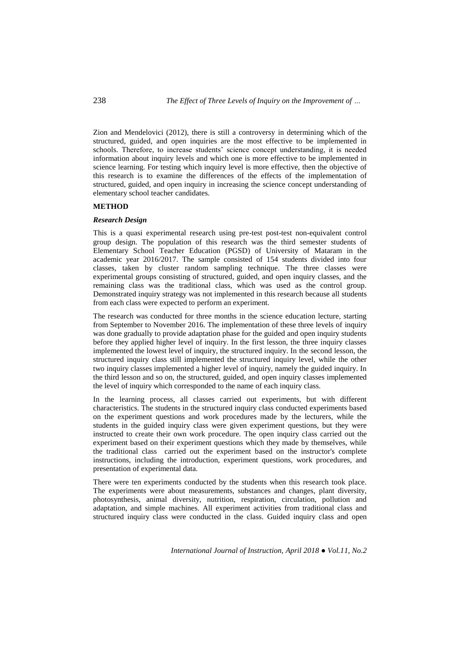238 *The Effect of Three Levels of Inquiry on the Improvement of …*

Zion and Mendelovici (2012), there is still a controversy in determining which of the structured, guided, and open inquiries are the most effective to be implemented in schools. Therefore, to increase students' science concept understanding, it is needed information about inquiry levels and which one is more effective to be implemented in science learning. For testing which inquiry level is more effective, then the objective of this research is to examine the differences of the effects of the implementation of structured, guided, and open inquiry in increasing the science concept understanding of elementary school teacher candidates.

## **METHOD**

### *Research Design*

This is a quasi experimental research using pre-test post-test non-equivalent control group design. The population of this research was the third semester students of Elementary School Teacher Education (PGSD) of University of Mataram in the academic year 2016/2017. The sample consisted of 154 students divided into four classes, taken by cluster random sampling technique. The three classes were experimental groups consisting of structured, guided, and open inquiry classes, and the remaining class was the traditional class, which was used as the control group. Demonstrated inquiry strategy was not implemented in this research because all students from each class were expected to perform an experiment.

The research was conducted for three months in the science education lecture, starting from September to November 2016. The implementation of these three levels of inquiry was done gradually to provide adaptation phase for the guided and open inquiry students before they applied higher level of inquiry. In the first lesson, the three inquiry classes implemented the lowest level of inquiry, the structured inquiry. In the second lesson, the structured inquiry class still implemented the structured inquiry level, while the other two inquiry classes implemented a higher level of inquiry, namely the guided inquiry. In the third lesson and so on, the structured, guided, and open inquiry classes implemented the level of inquiry which corresponded to the name of each inquiry class.

In the learning process, all classes carried out experiments, but with different characteristics. The students in the structured inquiry class conducted experiments based on the experiment questions and work procedures made by the lecturers, while the students in the guided inquiry class were given experiment questions, but they were instructed to create their own work procedure. The open inquiry class carried out the experiment based on their experiment questions which they made by themselves, while the traditional class carried out the experiment based on the instructor's complete instructions, including the introduction, experiment questions, work procedures, and presentation of experimental data.

There were ten experiments conducted by the students when this research took place. The experiments were about measurements, substances and changes, plant diversity, photosynthesis, animal diversity, nutrition, respiration, circulation, pollution and adaptation, and simple machines. All experiment activities from traditional class and structured inquiry class were conducted in the class. Guided inquiry class and open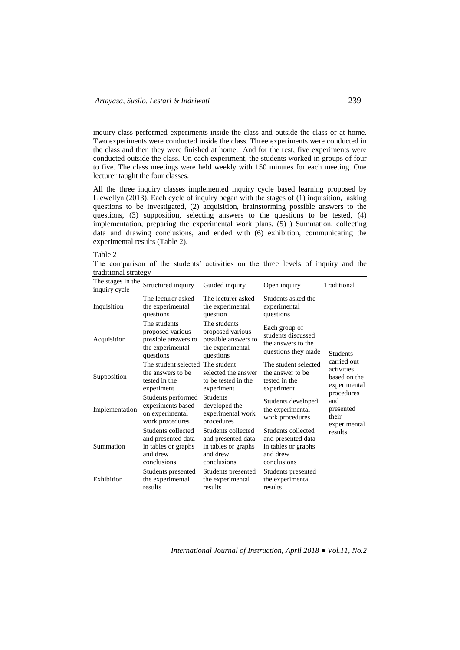inquiry class performed experiments inside the class and outside the class or at home. Two experiments were conducted inside the class. Three experiments were conducted in the class and then they were finished at home. And for the rest, five experiments were conducted outside the class. On each experiment, the students worked in groups of four to five. The class meetings were held weekly with 150 minutes for each meeting. One lecturer taught the four classes.

All the three inquiry classes implemented inquiry cycle based learning proposed by Llewellyn (2013). Each cycle of inquiry began with the stages of (1) inquisition, asking questions to be investigated, (2) acquisition, brainstorming possible answers to the questions, (3) supposition, selecting answers to the questions to be tested, (4) implementation, preparing the experimental work plans, (5) ) Summation, collecting data and drawing conclusions, and ended with (6) exhibition, communicating the experimental results (Table 2).

Table 2

The comparison of the students' activities on the three levels of inquiry and the traditional strategy

| The stages in the<br>inquiry cycle | Structured inquiry                                                                         | Guided inquiry                                                                             | Open inquiry                                                                               | Traditional                                               |  |
|------------------------------------|--------------------------------------------------------------------------------------------|--------------------------------------------------------------------------------------------|--------------------------------------------------------------------------------------------|-----------------------------------------------------------|--|
| Inquisition                        | The lecturer asked<br>the experimental<br>questions                                        | The lecturer asked<br>the experimental<br>question                                         | Students asked the<br>experimental<br>questions                                            |                                                           |  |
| Acquisition                        | The students<br>proposed various<br>possible answers to<br>the experimental<br>questions   | The students<br>proposed various<br>possible answers to<br>the experimental<br>questions   | Each group of<br>students discussed<br>the answers to the<br>questions they made           | <b>Students</b>                                           |  |
| Supposition                        | The student selected The student<br>the answers to be<br>tested in the<br>experiment       | selected the answer<br>to be tested in the<br>experiment                                   | The student selected<br>the answer to be<br>tested in the<br>experiment                    | carried out<br>activities<br>based on the<br>experimental |  |
| Implementation                     | Students performed<br>experiments based<br>on experimental<br>work procedures              | <b>Students</b><br>developed the<br>experimental work<br>procedures                        | Students developed<br>the experimental<br>work procedures                                  | procedures<br>and<br>presented<br>their<br>experimental   |  |
| Summation                          | Students collected<br>and presented data<br>in tables or graphs<br>and drew<br>conclusions | Students collected<br>and presented data<br>in tables or graphs<br>and drew<br>conclusions | Students collected<br>and presented data<br>in tables or graphs<br>and drew<br>conclusions | results                                                   |  |
| Exhibition                         | Students presented<br>the experimental<br>results                                          | Students presented<br>the experimental<br>results                                          | Students presented<br>the experimental<br>results                                          |                                                           |  |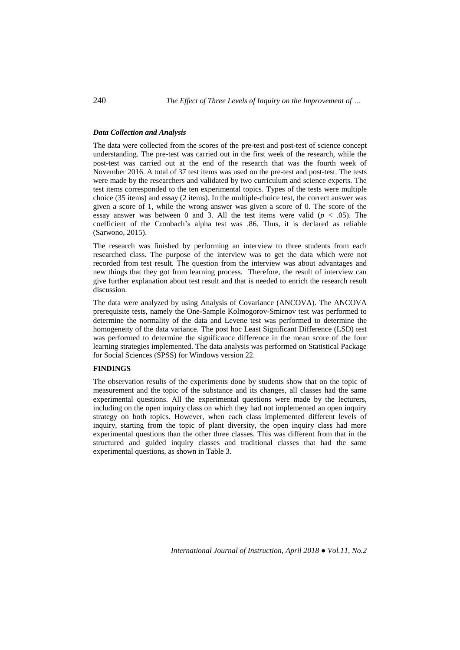#### *Data Collection and Analysis*

The data were collected from the scores of the pre-test and post-test of science concept understanding. The pre-test was carried out in the first week of the research, while the post-test was carried out at the end of the research that was the fourth week of November 2016. A total of 37 test items was used on the pre-test and post-test. The tests were made by the researchers and validated by two curriculum and science experts. The test items corresponded to the ten experimental topics. Types of the tests were multiple choice (35 items) and essay (2 items). In the multiple-choice test, the correct answer was given a score of 1, while the wrong answer was given a score of 0. The score of the essay answer was between 0 and 3. All the test items were valid ( $p < .05$ ). The coefficient of the Cronbach's alpha test was .86. Thus, it is declared as reliable (Sarwono, 2015).

The research was finished by performing an interview to three students from each researched class. The purpose of the interview was to get the data which were not recorded from test result. The question from the interview was about advantages and new things that they got from learning process. Therefore, the result of interview can give further explanation about test result and that is needed to enrich the research result discussion.

The data were analyzed by using Analysis of Covariance (ANCOVA). The ANCOVA prerequisite tests, namely the One-Sample Kolmogorov-Smirnov test was performed to determine the normality of the data and Levene test was performed to determine the homogeneity of the data variance. The post hoc Least Significant Difference (LSD) test was performed to determine the significance difference in the mean score of the four learning strategies implemented. The data analysis was performed on Statistical Package for Social Sciences (SPSS) for Windows version 22.

# **FINDINGS**

The observation results of the experiments done by students show that on the topic of measurement and the topic of the substance and its changes, all classes had the same experimental questions. All the experimental questions were made by the lecturers, including on the open inquiry class on which they had not implemented an open inquiry strategy on both topics. However, when each class implemented different levels of inquiry, starting from the topic of plant diversity, the open inquiry class had more experimental questions than the other three classes. This was different from that in the structured and guided inquiry classes and traditional classes that had the same experimental questions, as shown in Table 3.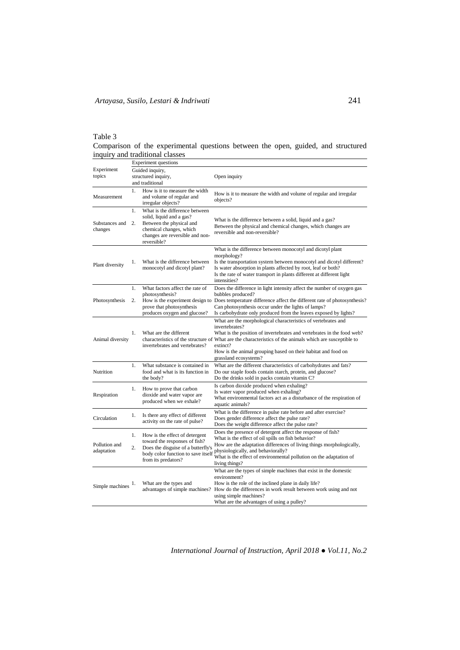## Table 3

Comparison of the experimental questions between the open, guided, and structured inquiry and traditional classes

|                             |          | <b>Experiment</b> questions                                                                                                                                         |                                                                                                                                                                                                                                                                                                                                                                             |
|-----------------------------|----------|---------------------------------------------------------------------------------------------------------------------------------------------------------------------|-----------------------------------------------------------------------------------------------------------------------------------------------------------------------------------------------------------------------------------------------------------------------------------------------------------------------------------------------------------------------------|
| Experiment<br>topics        |          | Guided inquiry,<br>structured inquiry,<br>and traditional                                                                                                           | Open inquiry                                                                                                                                                                                                                                                                                                                                                                |
| Measurement                 | 1.       | How is it to measure the width<br>and volume of regular and<br>irregular objects?                                                                                   | How is it to measure the width and volume of regular and irregular<br>objects?                                                                                                                                                                                                                                                                                              |
| Substances and<br>changes   | 1.<br>2. | What is the difference between<br>solid, liquid and a gas?<br>Between the physical and<br>chemical changes, which<br>changes are reversible and non-<br>reversible? | What is the difference between a solid, liquid and a gas?<br>Between the physical and chemical changes, which changes are<br>reversible and non-reversible?                                                                                                                                                                                                                 |
| Plant diversity             | 1.       | What is the difference between<br>monocotyl and dicotyl plant?                                                                                                      | What is the difference between monocotyl and dicotyl plant<br>morphology?<br>Is the transportation system between monocotyl and dicotyl different?<br>Is water absorption in plants affected by root, leaf or both?<br>Is the rate of water transport in plants different at different light<br>intensities?                                                                |
| Photosynthesis              | 1.<br>2. | What factors affect the rate of<br>photosynthesis?<br>prove that photosynthesis<br>produces oxygen and glucose?                                                     | Does the difference in light intensity affect the number of oxygen gas<br>bubbles produced?<br>How is the experiment design to Does temperature difference affect the different rate of photosynthesis?<br>Can photosynthesis occur under the lights of lamps?<br>Is carbohydrate only produced from the leaves exposed by lights?                                          |
| Animal diversity            | 1.       | What are the different<br>invertebrates and vertebrates?                                                                                                            | What are the morphological characteristics of vertebrates and<br>invertebrates?<br>What is the position of invertebrates and vertebrates in the food web?<br>characteristics of the structure of What are the characteristics of the animals which are susceptible to<br>extinct?<br>How is the animal grouping based on their habitat and food on<br>grassland ecosystems? |
| Nutrition                   | 1.       | What substance is contained in<br>food and what is its function in<br>the body?                                                                                     | What are the different characteristics of carbohydrates and fats?<br>Do our staple foods contain starch, protein, and glucose?<br>Do the drinks sold in packs contain vitamin C?                                                                                                                                                                                            |
| Respiration                 | 1.       | How to prove that carbon<br>dioxide and water vapor are<br>produced when we exhale?                                                                                 | Is carbon dioxide produced when exhaling?<br>Is water vapor produced when exhaling?<br>What environmental factors act as a disturbance of the respiration of<br>aquatic animals?                                                                                                                                                                                            |
| Circulation                 | 1.       | Is there any effect of different<br>activity on the rate of pulse?                                                                                                  | What is the difference in pulse rate before and after exercise?<br>Does gender difference affect the pulse rate?<br>Does the weight difference affect the pulse rate?                                                                                                                                                                                                       |
| Pollution and<br>adaptation | 1.<br>2. | How is the effect of detergent<br>toward the responses of fish?<br>Does the disguise of a butterfly's<br>body color function to save itself<br>from its predators?  | Does the presence of detergent affect the response of fish?<br>What is the effect of oil spills on fish behavior?<br>How are the adaptation differences of living things morphologically,<br>physiologically, and behaviorally?<br>What is the effect of environmental pollution on the adaptation of<br>living things?                                                     |
| Simple machines             | 1.       | What are the types and                                                                                                                                              | What are the types of simple machines that exist in the domestic<br>environment?<br>How is the role of the inclined plane in daily life?<br>advantages of simple machines? How do the differences in work result between work using and not<br>using simple machines?<br>What are the advantages of using a pulley?                                                         |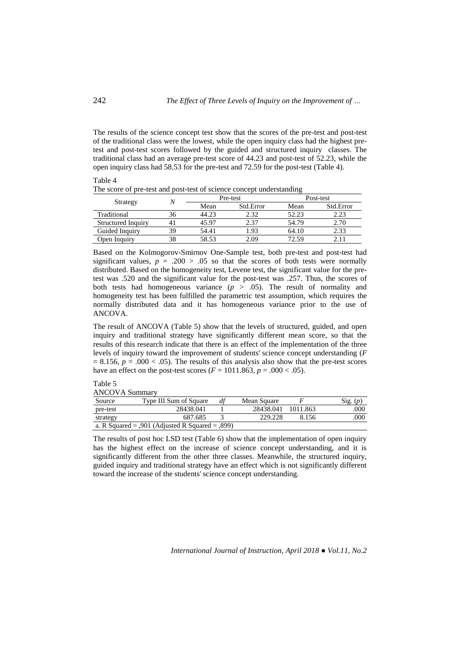The results of the science concept test show that the scores of the pre-test and post-test of the traditional class were the lowest, while the open inquiry class had the highest pretest and post-test scores followed by the guided and structured inquiry classes. The traditional class had an average pre-test score of 44.23 and post-test of 52.23, while the open inquiry class had 58.53 for the pre-test and 72.59 for the post-test (Table 4).

| Strategy           |    | Pre-test |           | Post-test |           |
|--------------------|----|----------|-----------|-----------|-----------|
|                    |    | Mean     | Std.Error | Mean      | Std.Error |
| Traditional        | 36 | 44.23    | 2.32      | 52.23     | 2.23      |
| Structured Inquiry |    | 45.97    | 2.37      | 54.79     | 2.70      |
| Guided Inquiry     | 39 | 54.41    | .93       | 64.10     | 2.33      |
| Open Inquiry       | 38 | 58.53    | 2.09      | 72.59     |           |

The score of pre-test and post-test of science concept understanding

Based on the Kolmogorov-Smirnov One-Sample test, both pre-test and post-test had significant values,  $p = .200 > .05$  so that the scores of both tests were normally distributed. Based on the homogeneity test, Levene test, the significant value for the pretest was .520 and the significant value for the post-test was .257. Thus, the scores of both tests had homogeneous variance  $(p > .05)$ . The result of normality and homogeneity test has been fulfilled the parametric test assumption, which requires the normally distributed data and it has homogeneous variance prior to the use of ANCOVA.

The result of ANCOVA (Table 5) show that the levels of structured, guided, and open inquiry and traditional strategy have significantly different mean score, so that the results of this research indicate that there is an effect of the implementation of the three levels of inquiry toward the improvement of students' science concept understanding (*F*  $= 8.156$ ,  $p = .000 < .05$ ). The results of this analysis also show that the pre-test scores have an effect on the post-test scores ( $F = 1011.863$ ,  $p = .000 < .05$ ).

Table 5 ANCOVA Summary

| Source                                          | Type III Sum of Square | df | Mean Square |          | Sig. (p) |
|-------------------------------------------------|------------------------|----|-------------|----------|----------|
| pre-test                                        | 28438.041              |    | 28438.041   | 1011.863 | .000     |
| strategy                                        | 687.685                |    | 229.228     | 8.156    | 000      |
| a. R Squared = .901 (Adjusted R Squared = .899) |                        |    |             |          |          |

The results of post hoc LSD test (Table 6) show that the implementation of open inquiry has the highest effect on the increase of science concept understanding, and it is significantly different from the other three classes. Meanwhile, the structured inquiry, guided inquiry and traditional strategy have an effect which is not significantly different toward the increase of the students' science concept understanding.

*International Journal of Instruction, April 2018 ● Vol.11, No.2*

Table 4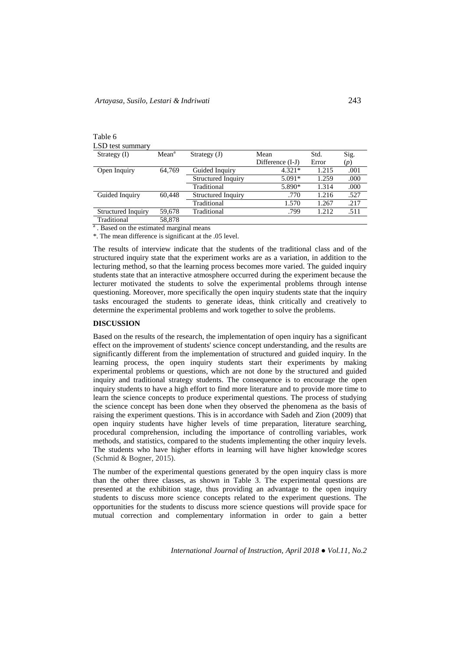| Tanie o          |  |
|------------------|--|
| LSD test summary |  |

 $T_{\rm{L11.6}}$ 

| Strategy $(I)$            | Mean <sup>a</sup> | Strategy $(J)$            | Mean             | Std.  | Sig. |
|---------------------------|-------------------|---------------------------|------------------|-------|------|
|                           |                   |                           | Difference (I-J) | Error | (p)  |
| Open Inquiry              | 64.769            | Guided Inquiry            | $4.321*$         | 1.215 | .001 |
|                           |                   | <b>Structured Inquiry</b> | $5.091*$         | 1.259 | .000 |
|                           |                   | Traditional               | 5.890*           | 1.314 | .000 |
| Guided Inquiry            | 60.448            | <b>Structured Inquiry</b> | .770             | 1.216 | .527 |
|                           |                   | Traditional               | 1.570            | 1.267 | .217 |
| <b>Structured Inquiry</b> | 59.678            | Traditional               | .799             | 1.212 | .511 |
| Traditional               | 58,878            |                           |                  |       |      |

<sup>a</sup>. Based on the estimated marginal means

\*. The mean difference is significant at the .05 level.

The results of interview indicate that the students of the traditional class and of the structured inquiry state that the experiment works are as a variation, in addition to the lecturing method, so that the learning process becomes more varied. The guided inquiry students state that an interactive atmosphere occurred during the experiment because the lecturer motivated the students to solve the experimental problems through intense questioning. Moreover, more specifically the open inquiry students state that the inquiry tasks encouraged the students to generate ideas, think critically and creatively to determine the experimental problems and work together to solve the problems.

#### **DISCUSSION**

Based on the results of the research, the implementation of open inquiry has a significant effect on the improvement of students' science concept understanding, and the results are significantly different from the implementation of structured and guided inquiry. In the learning process, the open inquiry students start their experiments by making experimental problems or questions, which are not done by the structured and guided inquiry and traditional strategy students. The consequence is to encourage the open inquiry students to have a high effort to find more literature and to provide more time to learn the science concepts to produce experimental questions. The process of studying the science concept has been done when they observed the phenomena as the basis of raising the experiment questions. This is in accordance with Sadeh and Zion (2009) that open inquiry students have higher levels of time preparation, literature searching, procedural comprehension, including the importance of controlling variables, work methods, and statistics, compared to the students implementing the other inquiry levels. The students who have higher efforts in learning will have higher knowledge scores (Schmid & Bogner, 2015).

The number of the experimental questions generated by the open inquiry class is more than the other three classes, as shown in Table 3. The experimental questions are presented at the exhibition stage, thus providing an advantage to the open inquiry students to discuss more science concepts related to the experiment questions. The opportunities for the students to discuss more science questions will provide space for mutual correction and complementary information in order to gain a better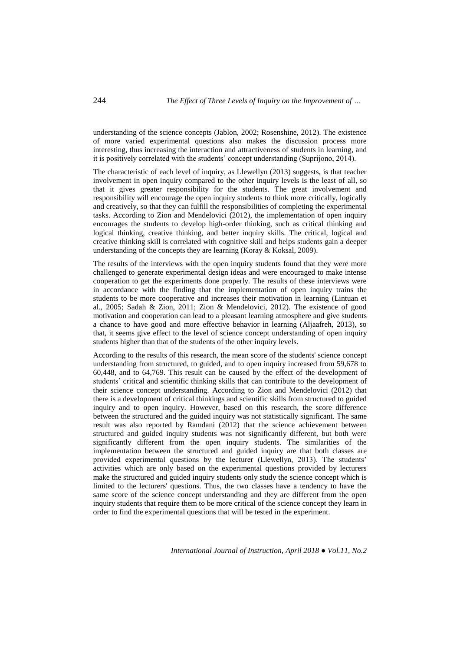understanding of the science concepts (Jablon, 2002; Rosenshine, 2012). The existence of more varied experimental questions also makes the discussion process more interesting, thus increasing the interaction and attractiveness of students in learning, and it is positively correlated with the students' concept understanding (Suprijono, 2014).

The characteristic of each level of inquiry, as Llewellyn (2013) suggests, is that teacher involvement in open inquiry compared to the other inquiry levels is the least of all, so that it gives greater responsibility for the students. The great involvement and responsibility will encourage the open inquiry students to think more critically, logically and creatively, so that they can fulfill the responsibilities of completing the experimental tasks. According to Zion and Mendelovici (2012), the implementation of open inquiry encourages the students to develop high-order thinking, such as critical thinking and logical thinking, creative thinking, and better inquiry skills. The critical, logical and creative thinking skill is correlated with cognitive skill and helps students gain a deeper understanding of the concepts they are learning (Koray & Koksal, 2009).

The results of the interviews with the open inquiry students found that they were more challenged to generate experimental design ideas and were encouraged to make intense cooperation to get the experiments done properly. The results of these interviews were in accordance with the finding that the implementation of open inquiry trains the students to be more cooperative and increases their motivation in learning (Lintuan et al., 2005; Sadah & Zion, 2011; Zion & Mendelovici, 2012). The existence of good motivation and cooperation can lead to a pleasant learning atmosphere and give students a chance to have good and more effective behavior in learning (Aljaafreh, 2013), so that, it seems give effect to the level of science concept understanding of open inquiry students higher than that of the students of the other inquiry levels.

According to the results of this research, the mean score of the students' science concept understanding from structured, to guided, and to open inquiry increased from 59,678 to 60,448, and to 64,769. This result can be caused by the effect of the development of students' critical and scientific thinking skills that can contribute to the development of their science concept understanding. According to Zion and Mendelovici (2012) that there is a development of critical thinkings and scientific skills from structured to guided inquiry and to open inquiry. However, based on this research, the score difference between the structured and the guided inquiry was not statistically significant. The same result was also reported by Ramdani (2012) that the science achievement between structured and guided inquiry students was not significantly different, but both were significantly different from the open inquiry students. The similarities of the implementation between the structured and guided inquiry are that both classes are provided experimental questions by the lecturer (Llewellyn, 2013). The students' activities which are only based on the experimental questions provided by lecturers make the structured and guided inquiry students only study the science concept which is limited to the lecturers' questions. Thus, the two classes have a tendency to have the same score of the science concept understanding and they are different from the open inquiry students that require them to be more critical of the science concept they learn in order to find the experimental questions that will be tested in the experiment.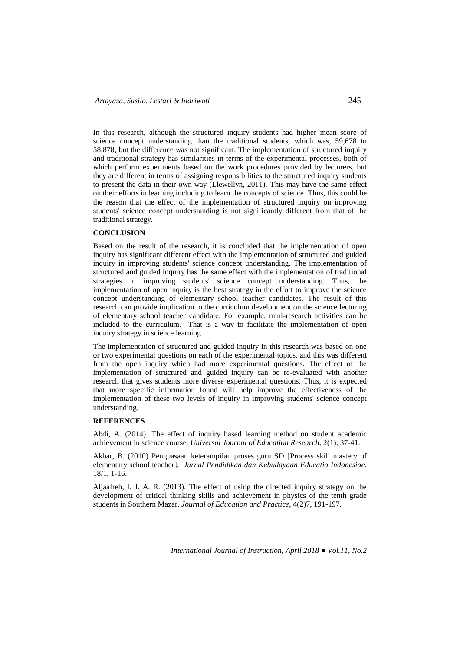In this research, although the structured inquiry students had higher mean score of science concept understanding than the traditional students, which was, 59,678 to 58,878, but the difference was not significant. The implementation of structured inquiry and traditional strategy has similarities in terms of the experimental processes, both of which perform experiments based on the work procedures provided by lecturers, but they are different in terms of assigning responsibilities to the structured inquiry students to present the data in their own way (Llewellyn, 2011). This may have the same effect on their efforts in learning including to learn the concepts of science. Thus, this could be the reason that the effect of the implementation of structured inquiry on improving students' science concept understanding is not significantly different from that of the traditional strategy.

## **CONCLUSION**

Based on the result of the research, it is concluded that the implementation of open inquiry has significant different effect with the implementation of structured and guided inquiry in improving students' science concept understanding. The implementation of structured and guided inquiry has the same effect with the implementation of traditional strategies in improving students' science concept understanding. Thus, the implementation of open inquiry is the best strategy in the effort to improve the science concept understanding of elementary school teacher candidates. The result of this research can provide implication to the curriculum development on the science lecturing of elementary school teacher candidate. For example, mini-research activities can be included to the curriculum. That is a way to facilitate the implementation of open inquiry strategy in science learning

The implementation of structured and guided inquiry in this research was based on one or two experimental questions on each of the experimental topics, and this was different from the open inquiry which had more experimental questions. The effect of the implementation of structured and guided inquiry can be re-evaluated with another research that gives students more diverse experimental questions. Thus, it is expected that more specific information found will help improve the effectiveness of the implementation of these two levels of inquiry in improving students' science concept understanding.

### **REFERENCES**

Abdi, A. (2014). The effect of inquiry based learning method on student academic achievement in science course. *Universal Journal of Education Research*, 2(1), 37-41.

Akbar, B. (2010) Penguasaan keterampilan proses guru SD [Process skill mastery of elementary school teacher]. *Jurnal Pendidikan dan Kebudayaan Educatio Indonesiae*, 18/1, 1-16.

Aljaafreh, I. J. A. R. (2013). The effect of using the directed inquiry strategy on the development of critical thinking skills and achievement in physics of the tenth grade students in Southern Mazar. *Journal of Education and Practice*, 4(2)7, 191-197.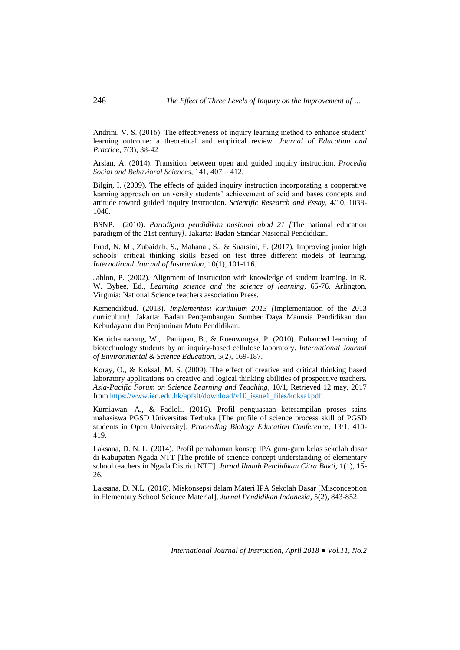Andrini, V. S. (2016). The effectiveness of inquiry learning method to enhance student' learning outcome: a theoretical and empirical review. *Journal of Education and Practice*, 7(3), 38-42

Arslan, A. (2014). Transition between open and guided inquiry instruction. *Procedia Social and Behavioral Sciences*, 141, 407 – 412.

Bilgin, I. (2009). The effects of guided inquiry instruction incorporating a cooperative learning approach on university students' achievement of acid and bases concepts and attitude toward guided inquiry instruction*. Scientific Research and Essay,* 4/10, 1038- 1046*.*

BSNP. (2010). *Paradigma pendidikan nasional abad 21 [*The national education paradigm of the 21st century*]*. Jakarta: Badan Standar Nasional Pendidikan.

Fuad, N. M., Zubaidah, S., Mahanal, S., & Suarsini, E. (2017). Improving junior high schools' critical thinking skills based on test three different models of learning. *International Journal of Instruction*, 10(1), 101-116.

Jablon, P. (2002). Alignment of instruction with knowledge of student learning. In R. W. Bybee, Ed., *Learning science and the science of learning*, 65-76. Arlington, Virginia: National Science teachers association Press.

Kemendikbud. (2013). *Implementasi kurikulum 2013 [*Implementation of the 2013 curriculum*]*. Jakarta: Badan Pengembangan Sumber Daya Manusia Pendidikan dan Kebudayaan dan Penjaminan Mutu Pendidikan.

Ketpichainarong, W., Panijpan, B., & Ruenwongsa, P. (2010). Enhanced learning of biotechnology students by an inquiry-based cellulose laboratory. *International Journal of Environmental & Science Education*, 5(2), 169-187.

Koray, O., & Koksal, M. S. (2009). The effect of creative and critical thinking based laboratory applications on creative and logical thinking abilities of prospective teachers. *Asia-Pacific Forum on Science Learning and Teaching*, 10/1, Retrieved 12 may, 2017 from [https://www.ied.edu.hk/apfslt/download/v10\\_issue1\\_files/koksal.pdf](https://www.ied.edu.hk/apfslt/download/v10_issue1_files/koksal.pdf)

Kurniawan, A., & Fadloli. (2016). Profil penguasaan keterampilan proses sains mahasiswa PGSD Universitas Terbuka [The profile of science process skill of PGSD students in Open University]. *Proceeding Biology Education Conference*, 13/1, 410- 419.

Laksana, D. N. L. (2014). Profil pemahaman konsep IPA guru-guru kelas sekolah dasar di Kabupaten Ngada NTT [The profile of science concept understanding of elementary school teachers in Ngada District NTT]*. Jurnal Ilmiah Pendidikan Citra Bakti,* 1(1), 15- 26*.*

Laksana, D. N.L. (2016). Miskonsepsi dalam Materi IPA Sekolah Dasar [Misconception in Elementary School Science Material], *Jurnal Pendidikan Indonesia*, 5(2), 843-852.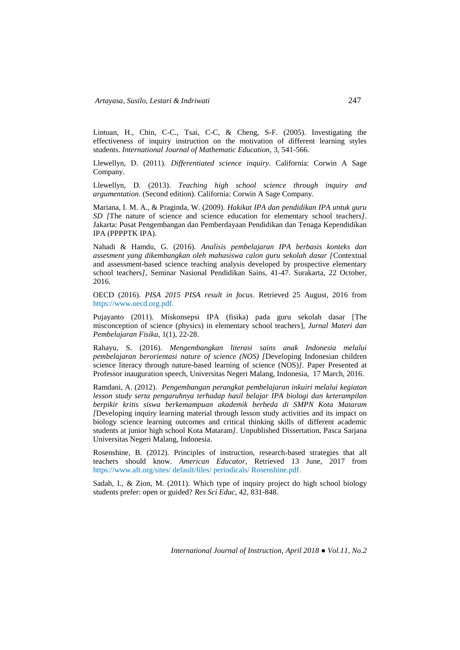Lintuan, H., Chin, C-C., Tsai, C-C, & Cheng, S-F. (2005). Investigating the effectiveness of inquiry instruction on the motivation of different learning styles students. *International Journal of Mathematic Education,* 3*,* 541-566.

Llewellyn, D. (2011). *Differentiated science inquiry*. California: Corwin A Sage Company.

Llewellyn, D. (2013). *Teaching high school science through inquiry and argumentation*. (Second edition). California: Corwin A Sage Company.

Mariana, I. M. A., & Praginda, W. (2009)*. Hakikat IPA dan pendidikan IPA untuk guru SD [*The nature of science and science education for elementary school teachers*]*. Jakarta: Pusat Pengembangan dan Pemberdayaan Pendidikan dan Tenaga Kependidikan IPA (PPPPTK IPA).

Nahadi & Hamdu, G. (2016). *Analisis pembelajaran IPA berbasis konteks dan assesment yang dikembangkan oleh mahasiswa calon guru sekolah dasar [*Contextual and assessment-based science teaching analysis developed by prospective elementary school teachers*],* Seminar Nasional Pendidikan Sains, 41-47. Surakarta, 22 October, 2016.

OECD (2016). *PISA 2015 PISA result in focus*. Retrieved 25 August, 2016 from https://www.oecd.org*.*pdf.

Pujayanto (2011). Miskonsepsi IPA (fisika) pada guru sekolah dasar [The misconception of science (physics) in elementary school teachers]*, Jurnal Materi dan Pembelajaran Fisika,* 1(1), 22-28.

Rahayu, S. (2016). *Mengembangkan literasi sains anak Indonesia melalui pembelajaran berorientasi nature of science (NOS) [*Developing Indonesian children science literacy through nature-based learning of science (NOS)*].* Paper Presented at Professor inauguration speech, Universitas Negeri Malang, Indonesia, 17 March, 2016.

Ramdani, A. (2012). *Pengembangan perangkat pembelajaran inkuiri melalui kegiatan lesson study serta pengaruhnya terhadap hasil belajar IPA biologi dan keterampilan berpikir kritis siswa berkemampuan akademik berbeda di SMPN Kota Mataram [*Developing inquiry learning material through lesson study activities and its impact on biology science learning outcomes and critical thinking skills of different academic students at junior high school Kota Mataram*]*. Unpublished Dissertation, Pasca Sarjana Universitas Negeri Malang, Indonesia.

Rosenshine, B. (2012). Principles of instruction, research-based strategies that all teachers should know. *American Educator*, Retrieved 13 June, 2017 from [https://www.aft.org/sites/ default/files/ periodicals/ Rosenshine.pdf.](https://www.aft.org/sites/%20default/files/%20periodicals/%20Rosenshine.pdf)

Sadah, I., & Zion, M. (2011). Which type of inquiry project do high school biology students prefer: open or guided? *Res Sci Educ*, 42, 831-848.